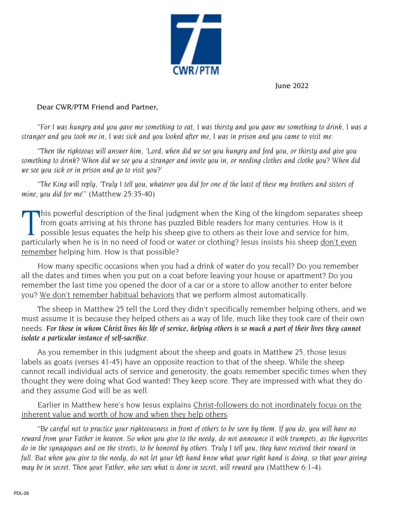

June 2022

## Dear CWR/PTM Friend and Partner,

"For I was hungry and you gave me something to eat, I was thirsty and you gave me something to drink, I was a stranger and you took me in. I was sick and you looked after me. I was in prison and you came to visit me.

"Then the righteous will answer him, 'Lord, when did we see you hungry and feed you, or thirsty and give you something to drink? When did we see you a stranger and invite you in, or needing clothes and clothe you? When did *we see you sick or in prison and go to visit you?'*

"The King will reply, 'Truly I tell you, whatever you did for one of the least of these my brothers and sisters of *mine, you did for me'"* (Matthew 25:35-40)

This powerful description of the final judgment when the King of the kingdom separates sheep<br>from goats arriving at his throne has puzzled Bible readers for many centuries. How is it<br>possible Jesus equates the help his she from goats arriving at his throne has puzzled Bible readers for many centuries. How is it possible Jesus equates the help his sheep give to others as their love and service for him, particularly when he is in no need of food or water or clothing? Jesus insists his sheep don't even remember helping him. How is that possible?

How many specific occasions when you had a drink of water do you recall? Do you remember all the dates and times when you put on a coat before leaving your house or apartment? Do you remember the last time you opened the door of a car or a store to allow another to enter before you? We don't remember habitual behaviors that we perform almost automatically.

The sheep in Matthew 25 tell the Lord they didn't specifically remember helping others, and we must assume it is because they helped others as a way of life, much like they took care of their own needs. For those in whom Christ lives his life of service, helping others is so much a part of their lives they cannot *isolate a particular instance of self-sacrifice*.

As you remember in this judgment about the sheep and goats in Matthew 25, those Jesus labels as goats (verses 41-45) have an opposite reaction to that of the sheep. While the sheep cannot recall individual acts of service and generosity, the goats remember specific times when they thought they were doing what God wanted! They keep score. They are impressed with what they do and they assume God will be as well.

Earlier in Matthew here's how Jesus explains Christ-followers do not inordinately focus on the inherent value and worth of how and when they help others:

"Be careful not to practice your righteousness in front of others to be seen by them. If you do, you will have no reward from your Father in heaven. So when you give to the needy, do not announce it with trumpets, as the hypocrites do in the synagogues and on the streets, to be honored by others. Truly I tell you, they have received their reward in full. But when you give to the needy, do not let your left hand know what your right hand is doing, so that your giving *may be in secret. Then you*r *Father, who sees what is done in secret, will reward you* (Matthew 6:1-4).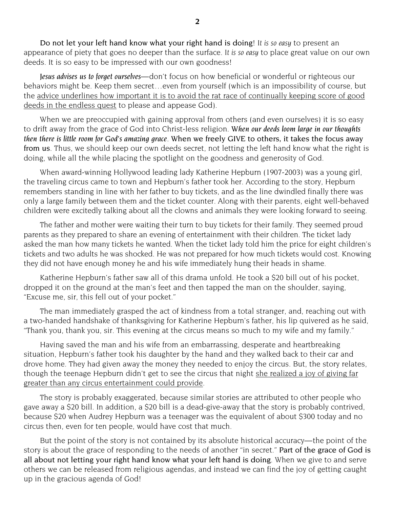Do not let your left hand know what your right hand is doing! *It is so easy* to present an appearance of piety that goes no deeper than the surface. *It is so easy* to place great value on our own deeds. It is so easy to be impressed with our own goodness!

*Jesus advises us to forget ourselves*—don't focus on how beneficial or wonderful or righteous our behaviors might be. Keep them secret…even from yourself (which is an impossibility of course, but the advice underlines how important it is to avoid the rat race of continually keeping score of good deeds in the endless quest to please and appease God).

When we are preoccupied with gaining approval from others (and even ourselves) it is so easy to drift away from the grace of God into Christ-less religion. *When our deeds loom large in our thoughts then there is little room for God's amazing grace*. When we freely GIVE to others, it takes the focus away from us. Thus, we should keep our own deeds secret, not letting the left hand know what the right is doing, while all the while placing the spotlight on the goodness and generosity of God.

When award-winning Hollywood leading lady Katherine Hepburn (1907-2003) was a young girl, the traveling circus came to town and Hepburn's father took her. According to the story, Hepburn remembers standing in line with her father to buy tickets, and as the line dwindled finally there was only a large family between them and the ticket counter. Along with their parents, eight well-behaved children were excitedly talking about all the clowns and animals they were looking forward to seeing.

The father and mother were waiting their turn to buy tickets for their family. They seemed proud parents as they prepared to share an evening of entertainment with their children. The ticket lady asked the man how many tickets he wanted. When the ticket lady told him the price for eight children's tickets and two adults he was shocked. He was not prepared for how much tickets would cost. Knowing they did not have enough money he and his wife immediately hung their heads in shame.

Katherine Hepburn's father saw all of this drama unfold. He took a \$20 bill out of his pocket, dropped it on the ground at the man's feet and then tapped the man on the shoulder, saying, "Excuse me, sir, this fell out of your pocket."

The man immediately grasped the act of kindness from a total stranger, and, reaching out with a two-handed handshake of thanksgiving for Katherine Hepburn's father, his lip quivered as he said, "Thank you, thank you, sir. This evening at the circus means so much to my wife and my family."

Having saved the man and his wife from an embarrassing, desperate and heartbreaking situation, Hepburn's father took his daughter by the hand and they walked back to their car and drove home. They had given away the money they needed to enjoy the circus. But, the story relates, though the teenage Hepburn didn't get to see the circus that night she realized a joy of giving far greater than any circus entertainment could provide.

The story is probably exaggerated, because similar stories are attributed to other people who gave away a \$20 bill. In addition, a \$20 bill is a dead-give-away that the story is probably contrived, because \$20 when Audrey Hepburn was a teenager was the equivalent of about \$300 today and no circus then, even for ten people, would have cost that much.

But the point of the story is not contained by its absolute historical accuracy—the point of the story is about the grace of responding to the needs of another "in secret." Part of the grace of God is all about not letting your right hand know what your left hand is doing. When we give to and serve others we can be released from religious agendas, and instead we can find the joy of getting caught up in the gracious agenda of God!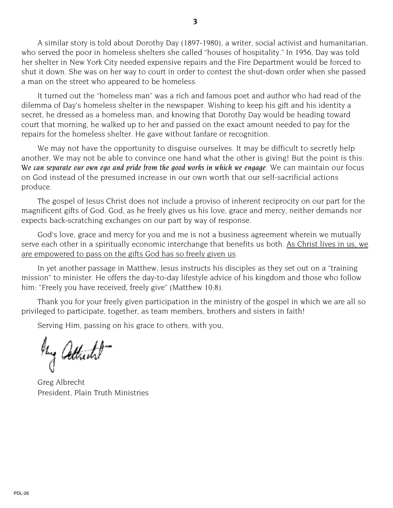A similar story is told about Dorothy Day (1897-1980), a writer, social activist and humanitarian, who served the poor in homeless shelters she called "houses of hospitality." In 1956, Day was told her shelter in New York City needed expensive repairs and the Fire Department would be forced to shut it down. She was on her way to court in order to contest the shut-down order when she passed a man on the street who appeared to be homeless.

It turned out the "homeless man" was a rich and famous poet and author who had read of the dilemma of Day's homeless shelter in the newspaper. Wishing to keep his gift and his identity a secret, he dressed as a homeless man, and knowing that Dorothy Day would be heading toward court that morning, he walked up to her and passed on the exact amount needed to pay for the repairs for the homeless shelter. He gave without fanfare or recognition.

We may not have the opportunity to disguise ourselves. It may be difficult to secretly help another. We may not be able to convince one hand what the other is giving! But the point is this: *We can separate our own ego and pride from the good works in which we engage*. We can maintain our focus on God instead of the presumed increase in our own worth that our self-sacrificial actions produce.

The gospel of Jesus Christ does not include a proviso of inherent reciprocity on our part for the magnificent gifts of God. God, as he freely gives us his love, grace and mercy, neither demands nor expects back-scratching exchanges on our part by way of response.

God's love, grace and mercy for you and me is not a business agreement wherein we mutually serve each other in a spiritually economic interchange that benefits us both. As Christ lives in us, we are empowered to pass on the gifts God has so freely given us.

In yet another passage in Matthew, Jesus instructs his disciples as they set out on a "training mission" to minister. He offers the day-to-day lifestyle advice of his kingdom and those who follow him: "Freely you have received, freely give" (Matthew 10:8).

Thank you for your freely given participation in the ministry of the gospel in which we are all so privileged to participate, together, as team members, brothers and sisters in faith!

Serving Him, passing on his grace to others, with you,

they Attricted

Greg Albrecht President, Plain Truth Ministries